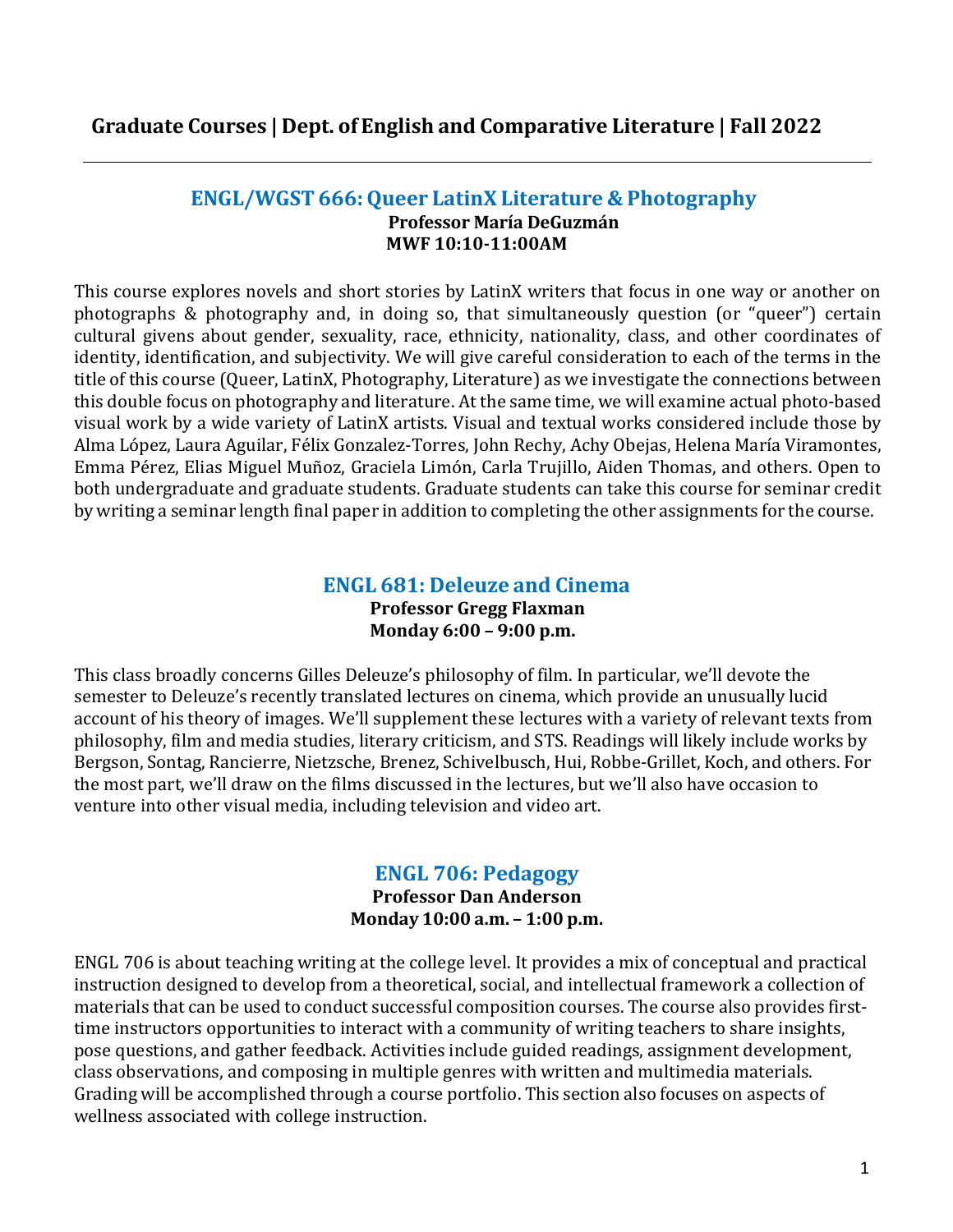# **ENGL/WGST 666:Queer LatinX Literature & Photography Professor María DeGuzmán MWF 10:10-11:00AM**

This course explores novels and short stories by LatinX writers that focus in one way or another on photographs & photography and, in doing so, that simultaneously question (or "queer") certain cultural givens about gender, sexuality, race, ethnicity, nationality, class, and other coordinates of identity, identification, and subjectivity. We will give careful consideration to each of the terms in the title of this course (Queer, LatinX, Photography, Literature) as we investigate the connections between this double focus on photography and literature. At the same time, we will examine actual photo-based visual work by a wide variety of LatinX artists. Visual and textual works considered include those by Alma López, Laura Aguilar, Félix Gonzalez-Torres, John Rechy, Achy Obejas, Helena María Viramontes, Emma Pérez, Elias Miguel Muñoz, Graciela Limón, Carla Trujillo, Aiden Thomas, and others. Open to both undergraduate and graduate students. Graduate students can take this course for seminar credit by writing a seminar length final paper in addition to completing the other assignments for the course.

# **ENGL 681: Deleuze and Cinema Professor Gregg Flaxman Monday 6:00 – 9:00 p.m.**

This class broadly concerns Gilles Deleuze's philosophy of film. In particular, we'll devote the semester to Deleuze's recently translated lectures on cinema, which provide an unusually lucid account of his theory of images. We'll supplement these lectures with a variety of relevant texts from philosophy, film and media studies, literary criticism, and STS. Readings will likely include works by Bergson, Sontag, Rancierre, Nietzsche, Brenez, Schivelbusch, Hui, Robbe-Grillet, Koch, and others. For the most part, we'll draw on the films discussed in the lectures, but we'll also have occasion to venture into other visual media, including television and video art.

# **ENGL 706: Pedagogy**

**Professor Dan Anderson Monday 10:00 a.m. – 1:00 p.m.**

ENGL 706 is about teaching writing at the college level. It provides a mix of conceptual and practical instruction designed to develop from a theoretical, social, and intellectual framework a collection of materials that can be used to conduct successful composition courses. The course also provides firsttime instructors opportunities to interact with a community of writing teachers to share insights, pose questions, and gather feedback. Activities include guided readings, assignment development, class observations, and composing in multiple genres with written and multimedia materials. Grading will be accomplished through a course portfolio. This section also focuses on aspects of wellness associated with college instruction.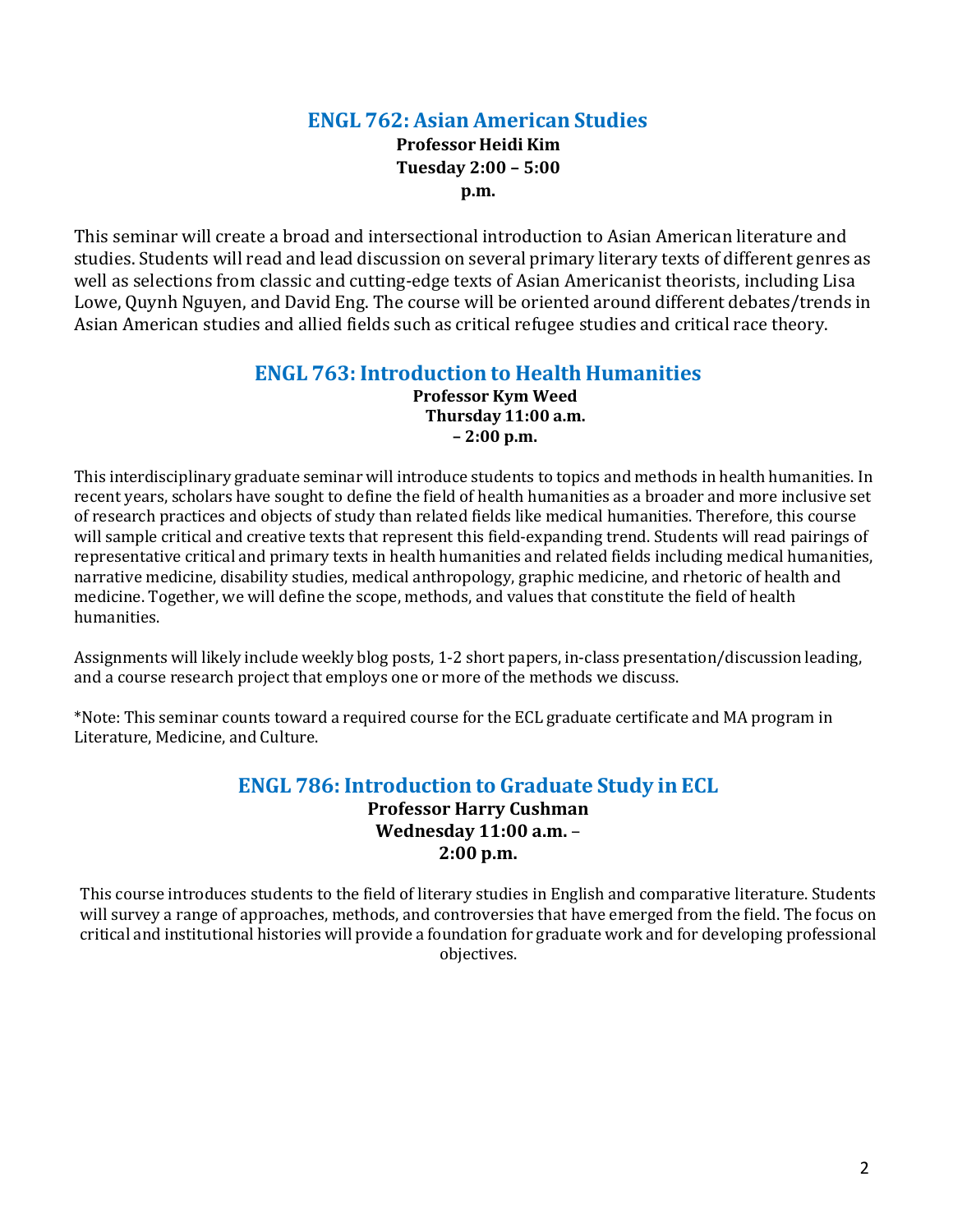# **ENGL 762: Asian American Studies**

**Professor Heidi Kim Tuesday 2:00 – 5:00 p.m.**

This seminar will create a broad and intersectional introduction to Asian American literature and studies. Students will read and lead discussion on several primary literary texts of different genres as well as selections from classic and cutting-edge texts of Asian Americanist theorists, including Lisa Lowe, Quynh Nguyen, and David Eng. The course will be oriented around different debates/trends in Asian American studies and allied fields such as critical refugee studies and critical race theory.

# **ENGL 763: Introduction to Health Humanities**

**Professor Kym Weed Thursday 11:00 a.m. – 2:00 p.m.**

This interdisciplinary graduate seminar will introduce students to topics and methods in health humanities. In recent years, scholars have sought to define the field of health humanities as a broader and more inclusive set of research practices and objects of study than related fields like medical humanities. Therefore, this course will sample critical and creative texts that represent this field-expanding trend. Students will read pairings of representative critical and primary texts in health humanities and related fields including medical humanities, narrative medicine, disability studies, medical anthropology, graphic medicine, and rhetoric of health and medicine. Together, we will define the scope, methods, and values that constitute the field of health humanities.

Assignments will likely include weekly blog posts, 1-2 short papers, in-class presentation/discussion leading, and a course research project that employs one or more of the methods we discuss.

\*Note: This seminar counts toward a required course for the ECL graduate certificate and MA program in Literature, Medicine, and Culture.

# **ENGL 786: Introduction to Graduate Study in ECL**

**Professor Harry Cushman Wednesday 11:00 a.m.** – **2:00 p.m.**

This course introduces students to the field of literary studies in English and comparative literature. Students will survey a range of approaches, methods, and controversies that have emerged from the field. The focus on critical and institutional histories will provide a foundation for graduate work and for developing professional objectives.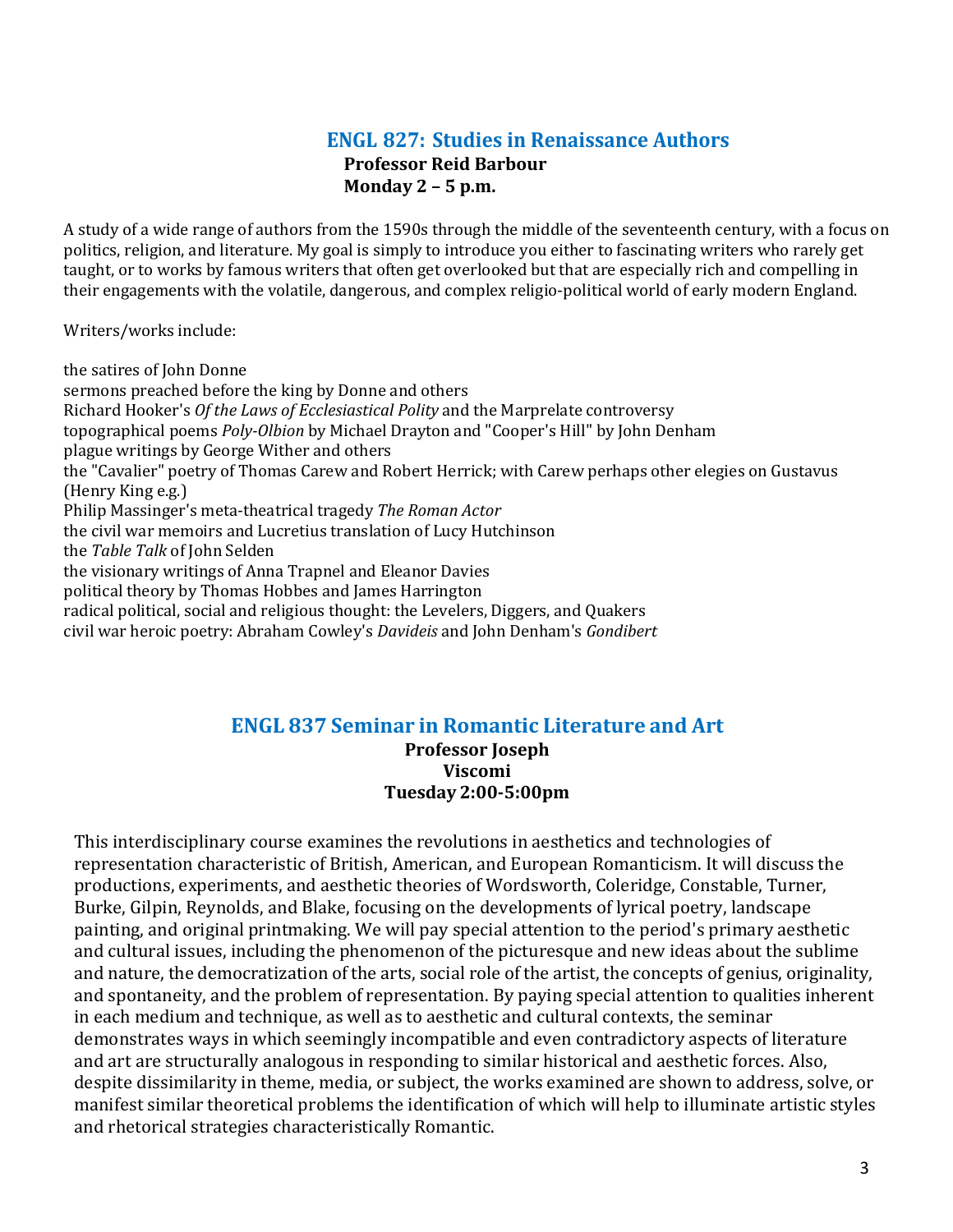### **ENGL 827: Studies in Renaissance Authors Professor Reid Barbour Monday 2 – 5 p.m.**

A study of a wide range of authors from the 1590s through the middle of the seventeenth century, with a focus on politics, religion, and literature. My goal is simply to introduce you either to fascinating writers who rarely get taught, or to works by famous writers that often get overlooked but that are especially rich and compelling in their engagements with the volatile, dangerous, and complex religio-political world of early modern England.

Writers/works include:

the satires of John Donne sermons preached before the king by Donne and others Richard Hooker's *Of the Laws of Ecclesiastical Polity* and the Marprelate controversy topographical poems *Poly-Olbion* by Michael Drayton and "Cooper's Hill" by John Denham plague writings by George Wither and others the "Cavalier" poetry of Thomas Carew and Robert Herrick; with Carew perhaps other elegies on Gustavus (Henry King e.g.) Philip Massinger's meta-theatrical tragedy *The Roman Actor* the civil war memoirs and Lucretius translation of Lucy Hutchinson the *Table Talk* of John Selden the visionary writings of Anna Trapnel and Eleanor Davies political theory by Thomas Hobbes and James Harrington radical political, social and religious thought: the Levelers, Diggers, and Quakers civil war heroic poetry: Abraham Cowley's *Davideis* and John Denham's *Gondibert*

# **ENGL 837 Seminar in Romantic Literature and Art**

**Professor Joseph Viscomi Tuesday 2:00-5:00pm**

This interdisciplinary course examines the revolutions in aesthetics and technologies of representation characteristic of British, American, and European Romanticism. It will discuss the productions, experiments, and aesthetic theories of Wordsworth, Coleridge, Constable, Turner, Burke, Gilpin, Reynolds, and Blake, focusing on the developments of lyrical poetry, landscape painting, and original printmaking. We will pay special attention to the period's primary aesthetic and cultural issues, including the phenomenon of the picturesque and new ideas about the sublime and nature, the democratization of the arts, social role of the artist, the concepts of genius, originality, and spontaneity, and the problem of representation. By paying special attention to qualities inherent in each medium and technique, as well as to aesthetic and cultural contexts, the seminar demonstrates ways in which seemingly incompatible and even contradictory aspects of literature and art are structurally analogous in responding to similar historical and aesthetic forces. Also, despite dissimilarity in theme, media, or subject, the works examined are shown to address, solve, or manifest similar theoretical problems the identification of which will help to illuminate artistic styles and rhetorical strategies characteristically Romantic.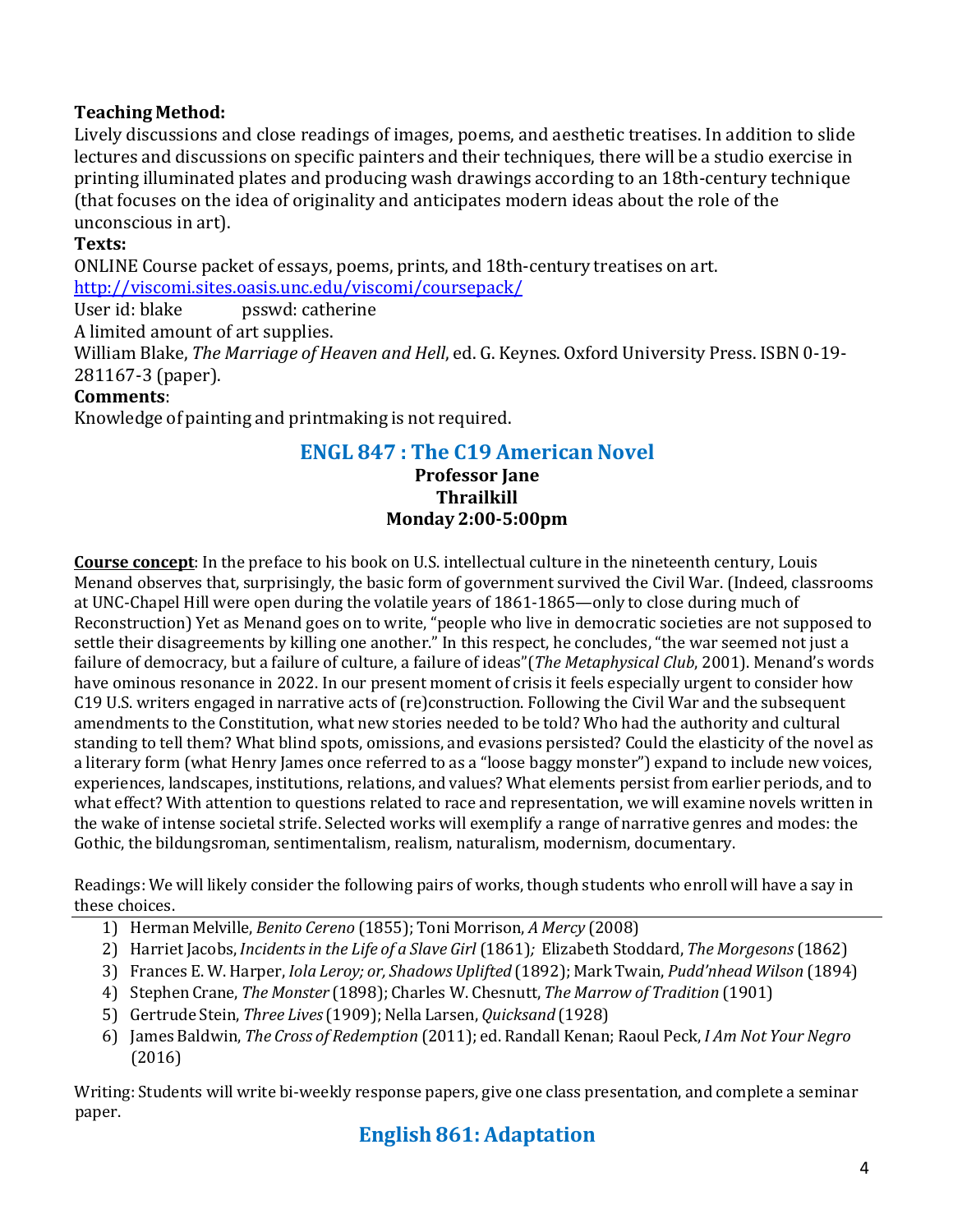# **Teaching Method:**

Lively discussions and close readings of images, poems, and aesthetic treatises. In addition to slide lectures and discussions on specific painters and their techniques, there will be a studio exercise in printing illuminated plates and producing wash drawings according to an 18th-century technique (that focuses on the idea of originality and anticipates modern ideas about the role of the unconscious in art).

### **Texts:**

ONLINE Course packet of essays, poems, prints, and 18th-century treatises on art. <http://viscomi.sites.oasis.unc.edu/viscomi/coursepack/>

psswd: catherine

A limited amount of art supplies.

William Blake, *The Marriage of Heaven and Hell*, ed. G. Keynes. Oxford University Press. ISBN 0-19- 281167-3 (paper).

### **Comments**:

Knowledge of painting and printmaking is not required.

# **ENGL 847 : The C19 American Novel**

#### **Professor Jane Thrailkill Monday 2:00-5:00pm**

**Course concept**: In the preface to his book on U.S. intellectual culture in the nineteenth century, Louis Menand observes that, surprisingly, the basic form of government survived the Civil War. (Indeed, classrooms at UNC-Chapel Hill were open during the volatile years of 1861-1865—only to close during much of Reconstruction) Yet as Menand goes on to write, "people who live in democratic societies are not supposed to settle their disagreements by killing one another." In this respect, he concludes, "the war seemed not just a failure of democracy, but a failure of culture, a failure of ideas"(*The Metaphysical Club*, 2001). Menand's words have ominous resonance in 2022. In our present moment of crisis it feels especially urgent to consider how C19 U.S. writers engaged in narrative acts of (re)construction. Following the Civil War and the subsequent amendments to the Constitution, what new stories needed to be told? Who had the authority and cultural standing to tell them? What blind spots, omissions, and evasions persisted? Could the elasticity of the novel as a literary form (what Henry James once referred to as a "loose baggy monster") expand to include new voices, experiences, landscapes, institutions, relations, and values? What elements persist from earlier periods, and to what effect? With attention to questions related to race and representation, we will examine novels written in the wake of intense societal strife. Selected works will exemplify a range of narrative genres and modes: the Gothic, the bildungsroman, sentimentalism, realism, naturalism, modernism, documentary.

Readings: We will likely consider the following pairs of works, though students who enroll will have a say in these choices.

- 1) Herman Melville, *Benito Cereno* (1855); Toni Morrison, *A Mercy* (2008)
- 2) Harriet Jacobs, *Incidentsin the Life of a Slave Girl* (1861)*;* Elizabeth Stoddard, *The Morgesons*(1862)
- 3) Frances E. W. Harper, *Iola Leroy; or, Shadows Uplifted* (1892); Mark Twain, *Pudd'nhead Wilson* (1894)
- 4) Stephen Crane, *The Monster* (1898); Charles W. Chesnutt, *The Marrow of Tradition* (1901)
- 5) Gertrude Stein, *Three Lives* (1909); Nella Larsen, *Quicksand* (1928)
- 6) James Baldwin, *The Cross of Redemption* (2011); ed. Randall Kenan; Raoul Peck, *I Am Not Your Negro* (2016)

Writing: Students will write bi-weekly response papers, give one class presentation, and complete a seminar paper.

# **English 861: Adaptation**